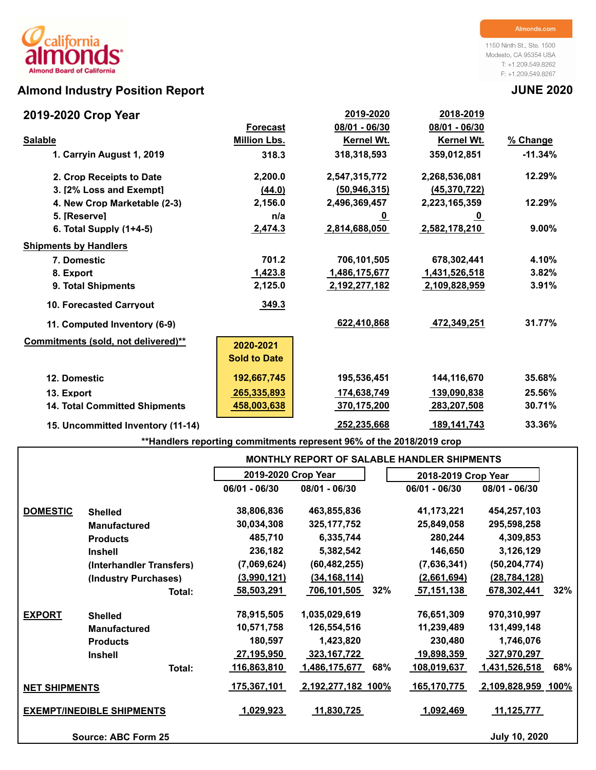# **Almond Industry Position Report JUNE 2020**

## **2019-2020 Crop Year**

1150 Ninth St., Ste. 1500 Modesto, CA 95354 USA T: +1.209.549.8262 F: +1.209.549.8267

| 2019-2020 Crop Year                  |                     | 2019-2020      | 2018-2019         |           |
|--------------------------------------|---------------------|----------------|-------------------|-----------|
|                                      | <b>Forecast</b>     | 08/01 - 06/30  | 08/01 - 06/30     |           |
| <b>Salable</b>                       | <b>Million Lbs.</b> | Kernel Wt.     | <b>Kernel Wt.</b> | % Change  |
| 1. Carryin August 1, 2019            | 318.3               | 318,318,593    | 359,012,851       | $-11.34%$ |
| 2. Crop Receipts to Date             | 2,200.0             | 2,547,315,772  | 2,268,536,081     | 12.29%    |
| 3. [2% Loss and Exempt]              | (44.0)              | (50, 946, 315) | (45, 370, 722)    |           |
| 4. New Crop Marketable (2-3)         | 2,156.0             | 2,496,369,457  | 2,223,165,359     | 12.29%    |
| 5. [Reserve]                         | n/a                 | <u>_0</u>      | <u>_0</u>         |           |
| 6. Total Supply $(1+4-5)$            | 2,474.3             | 2,814,688,050  | 2,582,178,210     | $9.00\%$  |
| <b>Shipments by Handlers</b>         |                     |                |                   |           |
| 7. Domestic                          | 701.2               | 706,101,505    | 678,302,441       | 4.10%     |
| 8. Export                            | 1,423.8             | 1,486,175,677  | 1,431,526,518     | 3.82%     |
| 9. Total Shipments                   | 2,125.0             | 2,192,277,182  | 2,109,828,959     | 3.91%     |
| <b>10. Forecasted Carrvout</b>       | 349.3               |                |                   |           |
| 11. Computed Inventory (6-9)         |                     | 622,410,868    | 472,349,251       | 31.77%    |
| Commitments (sold, not delivered)**  | 2020-2021           |                |                   |           |
|                                      | <b>Sold to Date</b> |                |                   |           |
| 12. Domestic                         | 192,667,745         | 195,536,451    | 144,116,670       | 35.68%    |
| 13. Export                           | 265,335,893         | 174,638,749    | 139,090,838       | 25.56%    |
| <b>14. Total Committed Shipments</b> | 458,003,638         | 370,175,200    | 283,207,508       | 30.71%    |
| 15. Uncommitted Inventory (11-14)    |                     | 252,235,668    | 189,141,743       | 33.36%    |

**\*\*Handlers reporting commitments represent 96% of the 2018/2019 crop**

|                                  |                            |                     |                    |     | <b>MONTHLY REPORT OF SALABLE HANDLER SHIPMENTS</b> |                      |     |
|----------------------------------|----------------------------|---------------------|--------------------|-----|----------------------------------------------------|----------------------|-----|
|                                  |                            | 2019-2020 Crop Year |                    |     | 2018-2019 Crop Year                                |                      |     |
|                                  |                            | $06/01 - 06/30$     | 08/01 - 06/30      |     | 06/01 - 06/30                                      | 08/01 - 06/30        |     |
| <b>DOMESTIC</b>                  | <b>Shelled</b>             | 38,806,836          | 463,855,836        |     | 41,173,221                                         | 454,257,103          |     |
|                                  | <b>Manufactured</b>        | 30,034,308          | 325, 177, 752      |     | 25,849,058                                         | 295,598,258          |     |
|                                  | <b>Products</b>            | 485,710             | 6,335,744          |     | 280,244                                            | 4,309,853            |     |
|                                  | <b>Inshell</b>             | 236,182             | 5,382,542          |     | 146,650                                            | 3,126,129            |     |
|                                  | (Interhandler Transfers)   | (7,069,624)         | (60, 482, 255)     |     | (7,636,341)                                        | (50, 204, 774)       |     |
|                                  | (Industry Purchases)       | (3,990,121)         | (34, 168, 114)     |     | (2,661,694)                                        | (28, 784, 128)       |     |
|                                  | Total:                     | 58,503,291          | 706,101,505        | 32% | 57,151,138                                         | 678,302,441          | 32% |
| <b>EXPORT</b>                    | <b>Shelled</b>             | 78,915,505          | 1,035,029,619      |     | 76,651,309                                         | 970,310,997          |     |
|                                  | <b>Manufactured</b>        | 10,571,758          | 126,554,516        |     | 11,239,489                                         | 131,499,148          |     |
|                                  | <b>Products</b>            | 180,597             | 1,423,820          |     | 230,480                                            | 1,746,076            |     |
|                                  | <b>Inshell</b>             | 27,195,950          | 323,167,722        |     | 19,898,359                                         | 327,970,297          |     |
|                                  | Total:                     | 116,863,810         | 1,486,175,677      | 68% | 108,019,637                                        | <u>1,431,526,518</u> | 68% |
| <b>NET SHIPMENTS</b>             |                            | 175,367,101         | 2,192,277,182 100% |     | 165,170,775                                        | 2,109,828,959 100%   |     |
| <b>EXEMPT/INEDIBLE SHIPMENTS</b> |                            | 1,029,923           | 11,830,725         |     | 1,092,469                                          | 11,125,777           |     |
|                                  | <b>Source: ABC Form 25</b> |                     |                    |     |                                                    | <b>July 10, 2020</b> |     |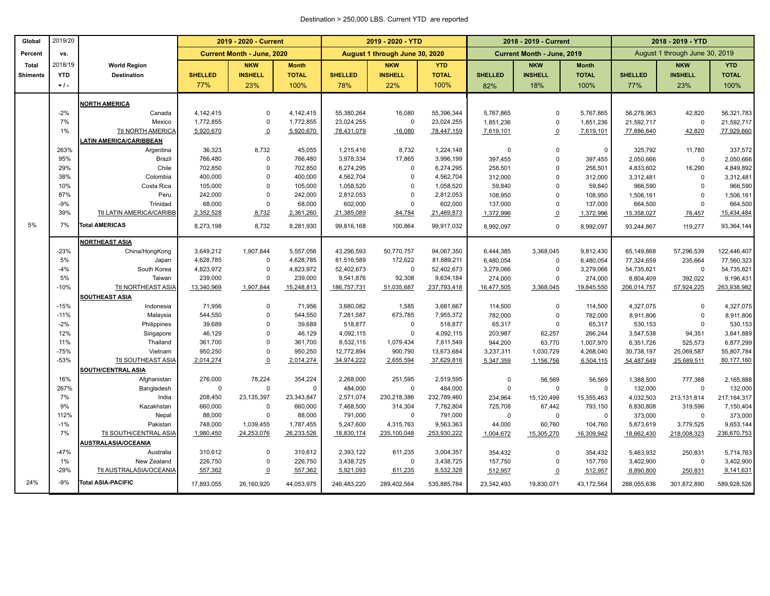### Destination > 250,000 LBS. Current YTD are reported

| Global          | 2019/20          |                               | 2019 - 2020 - Current |                                   |                        |                      | 2019 - 2020 - YTD              |                      |                        | 2018 - 2019 - Current      |                    | 2018 - 2019 - YTD    |                                |                          |
|-----------------|------------------|-------------------------------|-----------------------|-----------------------------------|------------------------|----------------------|--------------------------------|----------------------|------------------------|----------------------------|--------------------|----------------------|--------------------------------|--------------------------|
| Percent         | VS.              |                               |                       | <b>Current Month - June, 2020</b> |                        |                      | August 1 through June 30, 2020 |                      |                        | Current Month - June, 2019 |                    |                      | August 1 through June 30, 2019 |                          |
| Total           | 2018/19          | <b>World Region</b>           |                       | <b>NKW</b>                        | <b>Month</b>           |                      | <b>NKW</b>                     | <b>YTD</b>           |                        | <b>NKW</b>                 | <b>Month</b>       |                      | <b>NKW</b>                     | <b>YTD</b>               |
| <b>Shiments</b> | <b>YTD</b>       | <b>Destination</b>            | <b>SHELLED</b>        | <b>INSHELL</b>                    | <b>TOTAL</b>           | <b>SHELLED</b>       | <b>INSHELL</b>                 | <b>TOTAL</b>         | <b>SHELLED</b>         | <b>INSHELL</b>             | <b>TOTAL</b>       | <b>SHELLED</b>       | <b>INSHELL</b>                 | <b>TOTAL</b>             |
|                 | $+1$ .           |                               | 77%                   | 23%                               | 100%                   | 78%                  | 22%                            | 100%                 | 82%                    | 18%                        | 100%               | 77%                  | 23%                            | 100%                     |
|                 |                  | <b>NORTH AMERICA</b>          |                       |                                   |                        |                      |                                |                      |                        |                            |                    |                      |                                |                          |
|                 | $-2%$            | Canada                        | 4,142,415             | $\mathbf 0$                       | 4,142,415              | 55,380,264           | 16,080                         | 55,396,344           | 5,767,865              | 0                          | 5,767,865          | 56,278,963           | 42,820                         | 56,321,783               |
|                 | 7%               | Mexico                        | 1,772,855             | $\mathbf 0$                       | 1,772,855              | 23,024,255           | 0                              | 23,024,255           | 1,851,236              | $\Omega$                   | 1,851,236          | 21,592,717           | $\mathbf 0$                    | 21,592,717               |
|                 | 1%               | Ttl NORTH AMERICA             | 5,920,670             | $\Omega$                          | 5,920,670              | 78,431,079           | 16,080                         | 78,447,159           | 7,619,101              | $\Omega$                   | 7,619,101          | 77,886,840           | 42,820                         | 77,929,660               |
|                 |                  | <b>ATIN AMERICA/CARIBBEAN</b> |                       |                                   |                        |                      |                                |                      |                        |                            |                    |                      |                                |                          |
|                 | 263%             | Argentina                     | 36,323                | 8,732                             | 45,055                 | 1,215,416            | 8,732                          | 1,224,148            | $\mathsf 0$            | $\mathbf 0$                | $\mathbf 0$        | 325,792              | 11,780                         | 337,572                  |
|                 | 95%              | Brazil                        | 766,480               | $\overline{0}$                    | 766,480                | 3,978,334            | 17,865                         | 3,996,199            | 397,455                | $\mathbf 0$                | 397,455            | 2,050,666            | $\mathbf 0$                    | 2,050,666                |
|                 | 29%              | Chile                         | 702,850               | $\mathbf 0$                       | 702,850                | 6,274,295            | 0                              | 6,274,295            | 258,501                | $\Omega$                   | 258,501            | 4,833,602            | 16,290                         | 4,849,892                |
|                 | 38%              | Colombia                      | 400,000               | $\mathbf 0$                       | 400,000                | 4,562,704            | $\Omega$                       | 4,562,704            | 312,000                | $\Omega$                   | 312,000            | 3,312,481            | $\mathbf 0$                    | 3,312,481                |
|                 | 10%              | Costa Rica                    | 105,000               | $\overline{0}$                    | 105,000                | 1,058,520            | $\Omega$                       | 1,058,520            | 59,840                 | $\Omega$                   | 59,840             | 966,590              | $\mathbf 0$                    | 966,590                  |
|                 | 87%              | Peru                          | 242,000               | $\mathbf 0$                       | 242,000                | 2,812,053            | $\Omega$                       | 2,812,053            | 108,950                | $\Omega$                   | 108,950            | 1,506,161            | $\mathbf 0$                    | 1,506,161                |
|                 | $-9%$            | Trinidad                      | 68,000                | $\mathbf 0$                       | 68,000                 | 602,000              | 0                              | 602,000              | 137,000                | $\mathbf 0$                | 137,000            | 664,500              | $\mathbf 0$                    | 664,500                  |
|                 | 39%              | Ttl LATIN AMERICA/CARIBB      | 2,352,528             | 8,732                             | 2,361,260              | 21,385,089           | 84,784                         | 21,469,873           | 1,372,996              | $\Omega$                   | 1,372,996          | 15,358,027           | 76,457                         | 15,434,484               |
| 5%              | 7%               | <b>Total AMERICAS</b>         | 8,273,198             | 8,732                             | 8,281,930              | 99,816,168           | 100,864                        | 99,917,032           | 8,992,097              | $\mathbf 0$                | 8,992,097          | 93,244,867           | 119,277                        | 93,364,144               |
|                 |                  | <b>NORTHEAST ASIA</b>         |                       |                                   |                        |                      |                                |                      |                        |                            |                    |                      |                                |                          |
|                 | $-23%$           | China/HongKong                | 3,649,212             | 1,907,844                         | 5,557,056              | 43,296,593           | 50,770,757                     | 94,067,350           | 6,444,385              | 3,368,045                  | 9,812,430          | 65,149,868           | 57,296,539                     | 122,446,407              |
|                 | 5%               | Japan                         | 4,628,785             | $\mathbf 0$                       | 4,628,785              | 81,516,589           | 172,622                        | 81,689,211           | 6,480,054              | $\Omega$                   | 6,480,054          | 77,324,659           | 235,664                        | 77,560,323               |
|                 | $-4%$            | South Korea                   | 4,823,972             | $\mathbf 0$                       | 4,823,972              | 52,402,673           | $\mathbf 0$                    | 52,402,673           | 3,279,066              | $\Omega$                   | 3,279,066          | 54,735,821           | $\mathbf 0$                    | 54,735,821               |
|                 | 5%               | Taiwan                        | 239,000               | $\mathbf 0$                       | 239,000                | 9,541,876            | 92,308                         | 9,634,184            | 274,000                | $\mathbf 0$                | 274,000            | 8,804,409            | 392,022                        | 9,196,431                |
|                 | $-10%$           | Ttl NORTHEAST ASIA            | 13,340,969            | 1,907,844                         | 15,248,813             | 186,757,731          | 51,035,687                     | 237,793,418          | 16,477,505             | 3,368,045                  | 19,845,550         | 206,014,757          | 57,924,225                     | 263,938,982              |
|                 |                  | <b>SOUTHEAST ASIA</b>         |                       |                                   |                        |                      |                                |                      |                        |                            |                    |                      |                                |                          |
|                 | $-15%$           | Indonesia                     | 71,956                | $\mathbf 0$                       | 71,956                 | 3,680,082            | 1,585                          | 3,681,667            | 114,500                | $\Omega$                   | 114,500            | 4,327,075            | $\mathbf 0$                    | 4,327,075                |
|                 | $-11%$           | Malaysia                      | 544,550               | $\mathbf 0$                       | 544,550                | 7,281,587            | 673,785                        | 7,955,372            | 782,000                | $\mathbf 0$                | 782,000            | 8,911,806            | $\mathbf 0$                    | 8,911,806                |
|                 | $-2%$            | Philippines                   | 39,689                | $\mathbf 0$                       | 39,689                 | 518,877              | $\mathbf 0$                    | 518,877              | 65,317                 | $\mathbf 0$                | 65,317             | 530,153              | $\mathbf 0$                    | 530,153                  |
|                 | 12%              | Singapore                     | 46,129                | $\Omega$                          | 46,129                 | 4,092,115            | $\mathbf 0$                    | 4,092,115            | 203,987                | 62,257                     | 266,244            | 3,547,538            | 94,351                         | 3,641,889                |
|                 | 11%              | Thailand                      | 361,700               | $\overline{0}$                    | 361,700                | 6,532,115            | 1,079,434                      | 7,611,549            | 944,200                | 63,770                     | 1,007,970          | 6,351,726            | 525,573                        | 6,877,299                |
|                 | $-75%$<br>$-53%$ | Vietnam                       | 950,250               | $\overline{0}$                    | 950,250                | 12,772,894           | 900,790                        | 13,673,684           | 3,237,311              | 1,030,729                  | 4,268,040          | 30,738,197           | 25,069,587                     | 55,807,784               |
|                 |                  | Ttl SOUTHEAST ASIA            | 2,014,274             | $\overline{0}$                    | 2,014,274              | 34,974,222           | 2,655,594                      | 37,629,816           | 5,347,359              | 1,156,756                  | 6,504,115          | 54,487,649           | 25,689,511                     | 80,177,160               |
|                 |                  | <b>SOUTH/CENTRAL ASIA</b>     |                       |                                   |                        |                      |                                |                      |                        |                            |                    |                      |                                |                          |
|                 | 16%<br>267%      | Afghanistan<br>Bangladesh     | 276,000<br>$\Omega$   | 78,224<br>$\mathbf 0$             | 354,224<br>$\mathbf 0$ | 2,268,000<br>484,000 | 251,595<br>$\mathbf 0$         | 2,519,595<br>484,000 | $\mathbf 0$            | 56,569<br>$\Omega$         | 56,569<br>$\Omega$ | 1,388,500            | 777,388<br>$\mathbf 0$         | 2,165,888                |
|                 | 7%               | India                         | 208,450               | 23, 135, 397                      | 23,343,847             | 2,571,074            | 230,218,386                    | 232,789,460          | $\mathbf 0$<br>234,964 | 15,120,499                 | 15,355,463         | 132,000<br>4,032,503 | 213, 131, 814                  | 132,000<br>217, 164, 317 |
|                 | 9%               | Kazakhstan                    | 660,000               | $\mathbf 0$                       | 660,000                | 7,468,500            | 314,304                        | 7,782,804            | 725,708                | 67,442                     | 793,150            | 6,830,808            | 319,596                        | 7,150,404                |
|                 | 112%             | Nepal                         | 88,000                | $\mathbf{0}$                      | 88,000                 | 791,000              | $\mathbf 0$                    | 791,000              | $\mathbf 0$            | $\Omega$                   | $\mathbf 0$        | 373,000              | $\mathbf 0$                    | 373,000                  |
|                 | $-1%$            | Pakistan                      | 748,000               | 1,039,455                         | 1,787,455              | 5,247,600            | 4,315,763                      | 9,563,363            | 44,000                 | 60,760                     | 104,760            | 5,873,619            | 3,779,525                      | 9,653,144                |
|                 | 7%               | Ttl SOUTH/CENTRAL ASIA        | 1,980,450             | 24,253,076                        | 26,233,526             | 18,830,174           | 235,100,048                    | 253,930,222          | 1,004,672              | 15,305,270                 | 16,309,942         | 18,662,430           | 218,008,323                    | 236,670,753              |
|                 |                  | AUSTRALASIA/OCEANIA           |                       |                                   |                        |                      |                                |                      |                        |                            |                    |                      |                                |                          |
|                 | $-47%$           | Australia                     | 310,612               | $\mathbf 0$                       | 310,612                | 2,393,122            | 611,235                        | 3,004,357            | 354,432                | $\Omega$                   | 354,432            | 5,463,932            | 250,831                        | 5,714,763                |
|                 | 1%               | New Zealand                   | 226,750               | $\mathbf 0$                       | 226,750                | 3,438,725            | $\mathsf 0$                    | 3,438,725            | 157,750                | 0                          | 157,750            | 3,402,900            | $\mathbf 0$                    | 3,402,900                |
|                 | $-29%$           | Ttl AUSTRALASIA/OCEANIA       | 557,362               | $\overline{0}$                    | 557,362                | 5,921,093            | 611,235                        | 6,532,328            | 512,957                | $\overline{0}$             | 512,957            | 8,890,800            | 250,831                        | 9,141,631                |
| 24%             | $-9%$            | <b>Total ASIA-PACIFIC</b>     | 17,893,055            | 26,160,920                        | 44,053,975             | 246,483,220          | 289,402,564                    | 535,885,784          | 23,342,493             | 19,830,071                 | 43,172,564         | 288,055,636          | 301,872,890                    | 589,928,526              |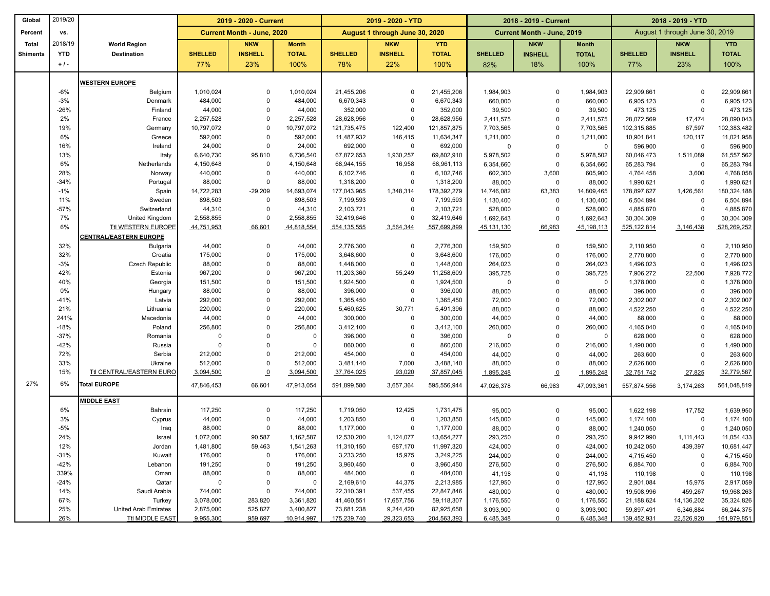| Global          | 2019/20    |                             | 2019 - 2020 - Current |                                   | 2019 - 2020 - YTD    |                         |                                | 2018 - 2019 - Current   |                      |                            | 2018 - 2019 - YTD    |                          |                                |                          |  |
|-----------------|------------|-----------------------------|-----------------------|-----------------------------------|----------------------|-------------------------|--------------------------------|-------------------------|----------------------|----------------------------|----------------------|--------------------------|--------------------------------|--------------------------|--|
| Percent         | vs.        |                             |                       | <b>Current Month - June, 2020</b> |                      |                         | August 1 through June 30, 2020 |                         |                      | Current Month - June, 2019 |                      |                          | August 1 through June 30, 2019 |                          |  |
| <b>Total</b>    | 2018/19    | <b>World Region</b>         |                       | <b>NKW</b>                        | <b>Month</b>         |                         | <b>NKW</b>                     | <b>YTD</b>              |                      | <b>NKW</b>                 | <b>Month</b>         |                          | <b>NKW</b>                     | <b>YTD</b>               |  |
| <b>Shiments</b> | <b>YTD</b> | <b>Destination</b>          | <b>SHELLED</b>        | <b>INSHELL</b>                    | <b>TOTAL</b>         | <b>SHELLED</b>          | <b>INSHELL</b>                 | <b>TOTAL</b>            | <b>SHELLED</b>       | <b>INSHELL</b>             | <b>TOTAL</b>         | <b>SHELLED</b>           | <b>INSHELL</b>                 | <b>TOTAL</b>             |  |
|                 | $+1$ .     |                             | 77%                   | 23%                               | 100%                 | 78%                     | 22%                            | 100%                    | 82%                  | 18%                        | 100%                 | 77%                      | 23%                            | 100%                     |  |
|                 |            |                             |                       |                                   |                      |                         |                                |                         |                      |                            |                      |                          |                                |                          |  |
|                 |            | <b>WESTERN EUROPE</b>       |                       |                                   |                      |                         |                                |                         |                      |                            |                      |                          |                                |                          |  |
|                 | $-6%$      | Belgium                     | 1,010,024             | $\mathbf 0$                       | 1,010,024            | 21,455,206              | $\Omega$                       | 21,455,206              | 1,984,903            | $\mathbf 0$                | 1,984,903            | 22,909,661               | $\Omega$                       | 22,909,661               |  |
|                 | $-3%$      | Denmark                     | 484,000               | $\mathbf 0$                       | 484,000              | 6,670,343               | $\mathbf 0$                    | 6,670,343               | 660,000              | $\mathbf 0$                | 660,000              | 6,905,123                | $\Omega$                       | 6,905,123                |  |
|                 | $-26%$     | Finland                     | 44,000                | $\mathbf 0$                       | 44,000               | 352,000                 | $\mathbf 0$                    | 352,000                 | 39,500               | $\mathbf 0$                | 39,500               | 473,125                  | 0                              | 473,125                  |  |
|                 | 2%         | France                      | 2,257,528             | $\Omega$                          | 2,257,528            | 28,628,956              | $\mathbf 0$                    | 28,628,956              | 2,411,575            | $\Omega$                   | 2,411,575            | 28,072,569               | 17,474                         | 28,090,043               |  |
|                 | 19%        | Germany                     | 10,797,072            | $\mathbf 0$                       | 10,797,072           | 121,735,475             | 122,400                        | 121,857,875             | 7,703,565            | $\mathbf 0$                | 7,703,565            | 102,315,885              | 67,597                         | 102,383,482              |  |
|                 | 6%         | Greece                      | 592,000               | $\Omega$                          | 592,000              | 11,487,932              | 146,415                        | 11,634,347              | 1,211,000            | $\mathbf 0$                | 1,211,000            | 10,901,841               | 120,117                        | 11,021,958               |  |
|                 | 16%<br>13% | Ireland                     | 24,000                | $\mathbf 0$<br>95,810             | 24,000               | 692,000                 | $\mathbf 0$                    | 692,000                 | $\mathbf 0$          | $\mathbf 0$                | $\Omega$             | 596,900                  | 0                              | 596,900                  |  |
|                 |            | Italy                       | 6,640,730             | $\mathbf 0$                       | 6,736,540            | 67,872,653              | 1,930,257<br>16,958            | 69,802,910              | 5,978,502            | $\mathbf 0$<br>$\mathbf 0$ | 5,978,502            | 60,046,473               | 1,511,089                      | 61,557,562<br>65,283,794 |  |
|                 | 6%<br>28%  | Netherlands<br>Norway       | 4,150,648<br>440,000  | $\mathbf 0$                       | 4,150,648<br>440,000 | 68,944,155<br>6,102,746 | $\mathbf 0$                    | 68,961,113<br>6,102,746 | 6,354,660            |                            | 6,354,660<br>605,900 | 65,283,794               | 0                              |                          |  |
|                 | $-34%$     | Portugal                    | 88,000                | $\Omega$                          | 88,000               | 1,318,200               | $\Omega$                       | 1,318,200               | 602,300              | 3,600<br>$\mathbf 0$       |                      | 4,764,458                | 3,600<br>0                     | 4,768,058<br>1,990,621   |  |
|                 | $-1%$      | Spain                       | 14,722,283            | $-29,209$                         | 14,693,074           | 177,043,965             |                                | 178,392,279             | 88,000<br>14,746,082 | 63,383                     | 88,000<br>14,809,465 | 1,990,621<br>178,897,627 | 1,426,561                      | 180,324,188              |  |
|                 | 11%        | Sweden                      | 898,503               | $\Omega$                          | 898,503              | 7,199,593               | 1,348,314<br>$\mathsf 0$       | 7,199,593               | 1,130,400            | $\mathbf 0$                | 1,130,400            | 6,504,894                | 0                              | 6,504,894                |  |
|                 | $-57%$     | Switzerland                 | 44,310                | $\Omega$                          | 44,310               | 2,103,721               | $\mathbf 0$                    | 2,103,721               | 528,000              | $\Omega$                   | 528,000              | 4,885,870                | $\mathbf 0$                    | 4,885,870                |  |
|                 | 7%         | United Kingdom              | 2,558,855             | $\mathbf 0$                       | 2,558,855            | 32,419,646              | $\mathbf 0$                    | 32,419,646              | 1,692,643            | $\Omega$                   | 1,692,643            | 30,304,309               | $\Omega$                       | 30,304,309               |  |
|                 | 6%         | Ttl WESTERN EUROPE          | 44,751,953            | 66,601                            | 44,818,554           | 554, 135, 555           | 3,564,344                      | 557,699,899             | 45,131,130           | 66,983                     | 45,198,113           | 525,122,814              | 3,146,438                      | 528,269,252              |  |
|                 |            | CENTRAL/EASTERN EUROPE      |                       |                                   |                      |                         |                                |                         |                      |                            |                      |                          |                                |                          |  |
|                 | 32%        | <b>Bulgaria</b>             | 44,000                | $\Omega$                          | 44,000               | 2,776,300               | $\Omega$                       | 2,776,300               | 159,500              | $\mathbf 0$                | 159,500              | 2,110,950                | $\Omega$                       | 2,110,950                |  |
|                 | 32%        | Croatia                     | 175,000               | $\mathbf 0$                       | 175,000              | 3,648,600               | $\mathbf 0$                    | 3,648,600               | 176,000              | $\mathbf 0$                | 176,000              | 2,770,800                | $\mathsf 0$                    | 2,770,800                |  |
|                 | $-3%$      | Czech Republic              | 88,000                | $\Omega$                          | 88,000               | 1,448,000               | $\mathsf 0$                    | 1,448,000               | 264,023              | $\mathsf 0$                | 264,023              | 1,496,023                | $\mathsf 0$                    | 1,496,023                |  |
|                 | 42%        | Estonia                     | 967,200               | $\mathbf 0$                       | 967,200              | 11,203,360              | 55,249                         | 11,258,609              | 395,725              | $\mathbf 0$                | 395,725              | 7,906,272                | 22,500                         | 7,928,772                |  |
|                 | 40%        | Georgia                     | 151,500               | $\Omega$                          | 151,500              | 1,924,500               | $\mathbf 0$                    | 1,924,500               | $\mathbf 0$          | $\Omega$                   | $\Omega$             | 1,378,000                | $\mathbf 0$                    | 1,378,000                |  |
|                 | 0%         | Hungary                     | 88,000                | $\mathbf 0$                       | 88,000               | 396,000                 | $\mathbf 0$                    | 396,000                 | 88,000               | $\mathbf 0$                | 88,000               | 396,000                  | $\mathbf 0$                    | 396,000                  |  |
|                 | $-41%$     | Latvia                      | 292,000               | $\Omega$                          | 292,000              | 1,365,450               | $\mathbf 0$                    | 1,365,450               | 72,000               | $\Omega$                   | 72,000               | 2,302,007                | $\mathbf 0$                    | 2,302,007                |  |
|                 | 21%        | Lithuania                   | 220,000               | $\mathbf 0$                       | 220,000              | 5,460,625               | 30,771                         | 5,491,396               | 88,000               | $\Omega$                   | 88,000               | 4,522,250                | $\Omega$                       | 4,522,250                |  |
|                 | 241%       | Macedonia                   | 44,000                | $\Omega$                          | 44,000               | 300,000                 | $\mathbf 0$                    | 300,000                 | 44,000               | $\Omega$                   | 44,000               | 88,000                   | $\Omega$                       | 88,000                   |  |
|                 | $-18%$     | Poland                      | 256,800               | $\mathbf 0$                       | 256,800              | 3,412,100               | $\mathbf 0$                    | 3,412,100               | 260,000              | $\mathbf 0$                | 260,000              | 4,165,040                | $\mathbf 0$                    | 4,165,040                |  |
|                 | $-37%$     | Romania                     | $\Omega$              | $\Omega$                          | $\Omega$             | 396,000                 | $\mathbf 0$                    | 396,000                 | $\Omega$             | $\Omega$                   | $\Omega$             | 628,000                  | $\Omega$                       | 628,000                  |  |
|                 | $-42%$     | Russia                      | $\Omega$              | $\mathbf 0$                       | $\Omega$             | 860,000                 | $\mathbf 0$                    | 860,000                 | 216,000              | $\mathbf 0$                | 216,000              | 1,490,000                | $\mathbf 0$                    | 1,490,000                |  |
|                 | 72%        | Serbia                      | 212,000               | $\Omega$                          | 212,000              | 454,000                 | $\mathbf 0$                    | 454,000                 | 44,000               | $\Omega$                   | 44,000               | 263,600                  | $\Omega$                       | 263,600                  |  |
|                 | 33%        | Ukraine                     | 512,000               | $\Omega$                          | 512,000              | 3,481,140               | 7,000                          | 3,488,140               | 88,000               | $\mathbf 0$                | 88,000               | 2,626,800                | $\mathbf 0$                    | 2,626,800                |  |
|                 | 15%        | Ttl CENTRAL/EASTERN EURO    | 3,094,500             | $\underline{\mathbf{0}}$          | 3,094,500            | 37,764,025              | 93,020                         | 37,857,045              | 1,895,248            | $\Omega$                   | 1,895,248            | 32,751,742               | 27,825                         | 32,779,567               |  |
| 27%             | 6%         | <b>Total EUROPE</b>         | 47,846,453            | 66,601                            | 47,913,054           | 591,899,580             | 3,657,364                      | 595.556.944             | 47,026,378           | 66,983                     | 47,093,361           | 557,874,556              | 3,174,263                      | 561,048,819              |  |
|                 |            | <b>MIDDLE EAST</b>          |                       |                                   |                      |                         |                                |                         |                      |                            |                      |                          |                                |                          |  |
|                 | 6%         | Bahrain                     | 117,250               | $\mathbf 0$                       | 117,250              | 1,719,050               | 12,425                         | 1,731,475               | 95,000               | $\mathbf 0$                | 95,000               | 1,622,198                | 17,752                         | 1,639,950                |  |
|                 | 3%         | Cyprus                      | 44,000                | $\Omega$                          | 44,000               | 1,203,850               | $\mathbf 0$                    | 1,203,850               | 145,000              | $\mathbf 0$                | 145,000              | 1,174,100                | $\mathbf 0$                    | 1,174,100                |  |
|                 | $-5%$      | Iraq                        | 88,000                | $\mathbf 0$                       | 88,000               | 1,177,000               | $\mathbf 0$                    | 1,177,000               | 88,000               | $\mathbf 0$                | 88,000               | 1,240,050                | $\mathbf 0$                    | 1,240,050                |  |
|                 | 24%        | Israel                      | 1,072,000             | 90,587                            | 1,162,587            | 12,530,200              | 1,124,077                      | 13,654,277              | 293,250              | $\mathbf 0$                | 293,250              | 9,942,990                | 1,111,443                      | 11,054,433               |  |
|                 | 12%        | Jordan                      | 1,481,800             | 59,463                            | 1,541,263            | 11,310,150              | 687,170                        | 11,997,320              | 424,000              | $\mathbf 0$                | 424,000              | 10,242,050               | 439,397                        | 10,681,447               |  |
|                 | $-31%$     | Kuwait                      | 176,000               | $\Omega$                          | 176,000              | 3,233,250               | 15,975                         | 3,249,225               | 244,000              | $\mathbf 0$                | 244,000              | 4,715,450                | $\mathbf 0$                    | 4,715,450                |  |
|                 | $-42%$     | Lebanon                     | 191,250               | $\mathbf 0$                       | 191,250              | 3,960,450               | $\mathbf 0$                    | 3,960,450               | 276,500              | $\mathbf 0$                | 276,500              | 6,884,700                | $\mathbf 0$                    | 6,884,700                |  |
|                 | 339%       | Oman                        | 88,000                | $\Omega$                          | 88,000               | 484,000                 | $\mathbf 0$                    | 484,000                 | 41,198               | $\mathbf 0$                | 41,198               | 110,198                  | $\mathbf 0$                    | 110,198                  |  |
|                 | $-24%$     | Qatar                       | $^{\circ}$            | $\mathbf 0$                       | 0                    | 2,169,610               | 44,375                         | 2,213,985               | 127,950              | $\mathbf 0$                | 127,950              | 2,901,084                | 15,975                         | 2,917,059                |  |
|                 | 14%        | Saudi Arabia                | 744,000               | $\Omega$                          | 744,000              | 22,310,391              | 537,455                        | 22,847,846              | 480,000              | $\mathbf 0$                | 480,000              | 19,508,996               | 459,267                        | 19,968,263               |  |
|                 | 67%        | Turkey                      | 3,078,000             | 283,820                           | 3,361,820            | 41,460,551              | 17,657,756                     | 59,118,307              | 1,176,550            | $\mathbf 0$                | 1,176,550            | 21,188,624               | 14,136,202                     | 35,324,826               |  |
|                 | 25%        | <b>United Arab Emirates</b> | 2,875,000             | 525,827                           | 3,400,827            | 73,681,238              | 9,244,420                      | 82,925,658              | 3,093,900            | $\mathbf 0$                | 3,093,900            | 59,897,491               | 6,346,884                      | 66,244,375               |  |
|                 | 26%        | <b>Ttl MIDDLE EAST</b>      | 9,955,300             | 959,697                           | 10,914,997           | 175,239,740             | 29,323,653                     | 204,563,393             | 6,485,348            | $\mathbf 0$                | 6,485,348            | 139,452,931              | 22,526,920                     | 161,979,851              |  |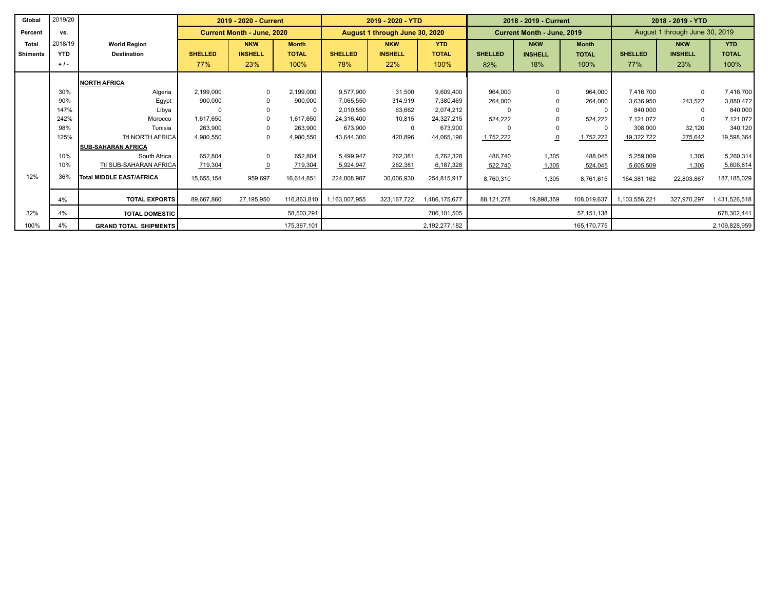| Global          | 2019/20    |                                 | 2019 - 2020 - Current |                                   |              | 2019 - 2020 - YTD |                                |               |                | 2018 - 2019 - Current      |               | 2018 - 2019 - YTD |                                |               |  |
|-----------------|------------|---------------------------------|-----------------------|-----------------------------------|--------------|-------------------|--------------------------------|---------------|----------------|----------------------------|---------------|-------------------|--------------------------------|---------------|--|
| Percent         | vs.        |                                 |                       | <b>Current Month - June, 2020</b> |              |                   | August 1 through June 30, 2020 |               |                | Current Month - June, 2019 |               |                   | August 1 through June 30, 2019 |               |  |
| <b>Total</b>    | 2018/19    | <b>World Region</b>             |                       | <b>NKW</b>                        | <b>Month</b> |                   | <b>NKW</b>                     | <b>YTD</b>    |                | <b>NKW</b>                 | <b>Month</b>  |                   | <b>NKW</b>                     | <b>YTD</b>    |  |
| <b>Shiments</b> | <b>YTD</b> | <b>Destination</b>              | <b>SHELLED</b>        | <b>INSHELL</b>                    | <b>TOTAL</b> | <b>SHELLED</b>    | <b>INSHELL</b>                 | <b>TOTAL</b>  | <b>SHELLED</b> | <b>INSHELL</b>             | <b>TOTAL</b>  | <b>SHELLED</b>    | <b>INSHELL</b>                 | <b>TOTAL</b>  |  |
|                 | $+1$ .     |                                 | 77%                   | 23%                               | 100%         | 78%               | 22%                            | 100%          | 82%            | 18%                        | 100%          | 77%               | 23%                            | 100%          |  |
|                 |            | <b>NORTH AFRICA</b>             |                       |                                   |              |                   |                                |               |                |                            |               |                   |                                |               |  |
|                 | 30%        | Algeria                         | 2,199,000             | $\Omega$                          | 2,199,000    | 9,577,900         | 31,500                         | 9,609,400     | 964,000        |                            | 964,000       | 7,416,700         | $\Omega$                       | 7,416,700     |  |
|                 | 90%        | Egypt                           | 900,000               |                                   | 900,000      | 7,065,550         | 314,919                        | 7,380,469     | 264,000        |                            | 264,000       | 3,636,950         | 243,522                        | 3,880,472     |  |
|                 | 147%       | Libya                           |                       |                                   | $\Omega$     | 2,010,550         | 63,662                         | 2,074,212     |                |                            |               | 840,000           | $\Omega$                       | 840,000       |  |
|                 | 242%       | Morocco                         | 1,617,650             |                                   | 1,617,650    | 24.316.400        | 10,815                         | 24,327,215    | 524,222        |                            | 524,222       | 7,121,072         | $\Omega$                       | 7,121,072     |  |
|                 | 98%        | Tunisia                         | 263,900               |                                   | 263,900      | 673,900           | 0                              | 673,900       |                |                            |               | 308,000           | 32,120                         | 340,120       |  |
|                 | 125%       | Ttl NORTH AFRICA                | 4,980,550             | $\overline{0}$                    | 4,980,550    | 43,644,300        | 420,896                        | 44,065,196    | 1,752,222      |                            | 1,752,222     | 19,322,722        | 275,642                        | 19,598,364    |  |
|                 |            | <b>ISUB-SAHARAN AFRICA</b>      |                       |                                   |              |                   |                                |               |                |                            |               |                   |                                |               |  |
|                 | 10%        | South Africa                    | 652,804               | $\mathbf 0$                       | 652,804      | 5,499,947         | 262,381                        | 5,762,328     | 486,740        | 1,305                      | 488,045       | 5,259,009         | 1,305                          | 5,260,314     |  |
|                 | 10%        | Ttl SUB-SAHARAN AFRICA          | 719,304               | $\overline{0}$                    | 719,304      | 5,924,947         | 262,381                        | 6,187,328     | 522,740        | 1,305                      | 524,045       | 5,605,509         | 1,305                          | 5,606,814     |  |
| 12%             | 36%        | <b>Total MIDDLE EAST/AFRICA</b> | 15,655,154            | 959,697                           | 16,614,851   | 224,808,987       | 30,006,930                     | 254,815,917   | 8,760,310      | 1,305                      | 8,761,615     | 164,381,162       | 22,803,867                     | 187, 185, 029 |  |
|                 | 4%         | <b>TOTAL EXPORTS</b>            | 89,667,860            | 27,195,950                        | 116,863,810  | 1,163,007,955     | 323, 167, 722                  | 1,486,175,677 | 88,121,278     | 19,898,359                 | 108,019,637   | 1,103,556,221     | 327,970,297                    | 1,431,526,518 |  |
| 32%             | 4%         | <b>TOTAL DOMESTIC</b>           |                       |                                   | 58,503,291   |                   |                                | 706,101,505   |                |                            | 57, 151, 138  |                   |                                | 678,302,441   |  |
| 100%            | 4%         | <b>GRAND TOTAL SHIPMENTS</b>    |                       |                                   | 175,367,101  |                   |                                | 2,192,277,182 |                |                            | 165, 170, 775 |                   |                                | 2,109,828,959 |  |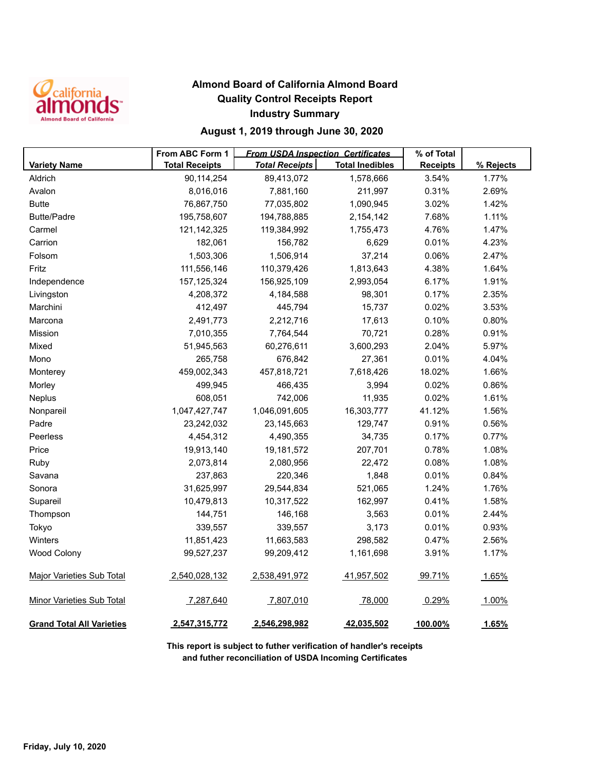

## **Almond Board of California Almond Board Quality Control Receipts Report Industry Summary**

## **August 1, 2019 through June 30, 2020**

|                                  | From ABC Form 1       | % of Total            |                        |                 |           |
|----------------------------------|-----------------------|-----------------------|------------------------|-----------------|-----------|
| <b>Variety Name</b>              | <b>Total Receipts</b> | <b>Total Receipts</b> | <b>Total Inedibles</b> | <b>Receipts</b> | % Rejects |
| Aldrich                          | 90,114,254            | 89,413,072            | 1,578,666              | 3.54%           | 1.77%     |
| Avalon                           | 8,016,016             | 7,881,160             | 211,997                | 0.31%           | 2.69%     |
| <b>Butte</b>                     | 76,867,750            | 77,035,802            | 1,090,945              | 3.02%           | 1.42%     |
| <b>Butte/Padre</b>               | 195,758,607           | 194,788,885           | 2,154,142              | 7.68%           | 1.11%     |
| Carmel                           | 121,142,325           | 119,384,992           | 1,755,473              | 4.76%           | 1.47%     |
| Carrion                          | 182,061               | 156,782               | 6,629                  | 0.01%           | 4.23%     |
| Folsom                           | 1,503,306             | 1,506,914             | 37,214                 | 0.06%           | 2.47%     |
| Fritz                            | 111,556,146           | 110,379,426           | 1,813,643              | 4.38%           | 1.64%     |
| Independence                     | 157, 125, 324         | 156,925,109           | 2,993,054              | 6.17%           | 1.91%     |
| Livingston                       | 4,208,372             | 4,184,588             | 98,301                 | 0.17%           | 2.35%     |
| Marchini                         | 412,497               | 445,794               | 15,737                 | 0.02%           | 3.53%     |
| Marcona                          | 2,491,773             | 2,212,716             | 17,613                 | 0.10%           | 0.80%     |
| <b>Mission</b>                   | 7,010,355             | 7,764,544             | 70,721                 | 0.28%           | 0.91%     |
| Mixed                            | 51,945,563            | 60,276,611            | 3,600,293              | 2.04%           | 5.97%     |
| Mono                             | 265,758               | 676,842               | 27,361                 | 0.01%           | 4.04%     |
| Monterey                         | 459,002,343           | 457,818,721           | 7,618,426              | 18.02%          | 1.66%     |
| Morley                           | 499,945               | 466,435               | 3,994                  | 0.02%           | 0.86%     |
| Neplus                           | 608,051               | 742,006               | 11,935                 | 0.02%           | 1.61%     |
| Nonpareil                        | 1,047,427,747         | 1,046,091,605         | 16,303,777             | 41.12%          | 1.56%     |
| Padre                            | 23,242,032            | 23,145,663            | 129,747                | 0.91%           | 0.56%     |
| Peerless                         | 4,454,312             | 4,490,355             | 34,735                 | 0.17%           | 0.77%     |
| Price                            | 19,913,140            | 19,181,572            | 207,701                | 0.78%           | 1.08%     |
| Ruby                             | 2,073,814             | 2,080,956             | 22,472                 | 0.08%           | 1.08%     |
| Savana                           | 237,863               | 220,346               | 1,848                  | 0.01%           | 0.84%     |
| Sonora                           | 31,625,997            | 29,544,834            | 521,065                | 1.24%           | 1.76%     |
| Supareil                         | 10,479,813            | 10,317,522            | 162,997                | 0.41%           | 1.58%     |
| Thompson                         | 144,751               | 146,168               | 3,563                  | 0.01%           | 2.44%     |
| Tokyo                            | 339,557               | 339,557               | 3,173                  | 0.01%           | 0.93%     |
| Winters                          | 11,851,423            | 11,663,583            | 298,582                | 0.47%           | 2.56%     |
| <b>Wood Colony</b>               | 99,527,237            | 99,209,412            | 1,161,698              | 3.91%           | 1.17%     |
| <b>Major Varieties Sub Total</b> | 2,540,028,132         | 2,538,491,972         | 41,957,502             | 99.71%          | 1.65%     |
| Minor Varieties Sub Total        | 7,287,640             | 7,807,010             | 78,000                 | 0.29%           | 1.00%     |
| <b>Grand Total All Varieties</b> | 2,547,315,772         | 2,546,298,982         | 42,035,502             | 100.00%         | 1.65%     |

**This report is subject to futher verification of handler's receipts and futher reconciliation of USDA Incoming Certificates**